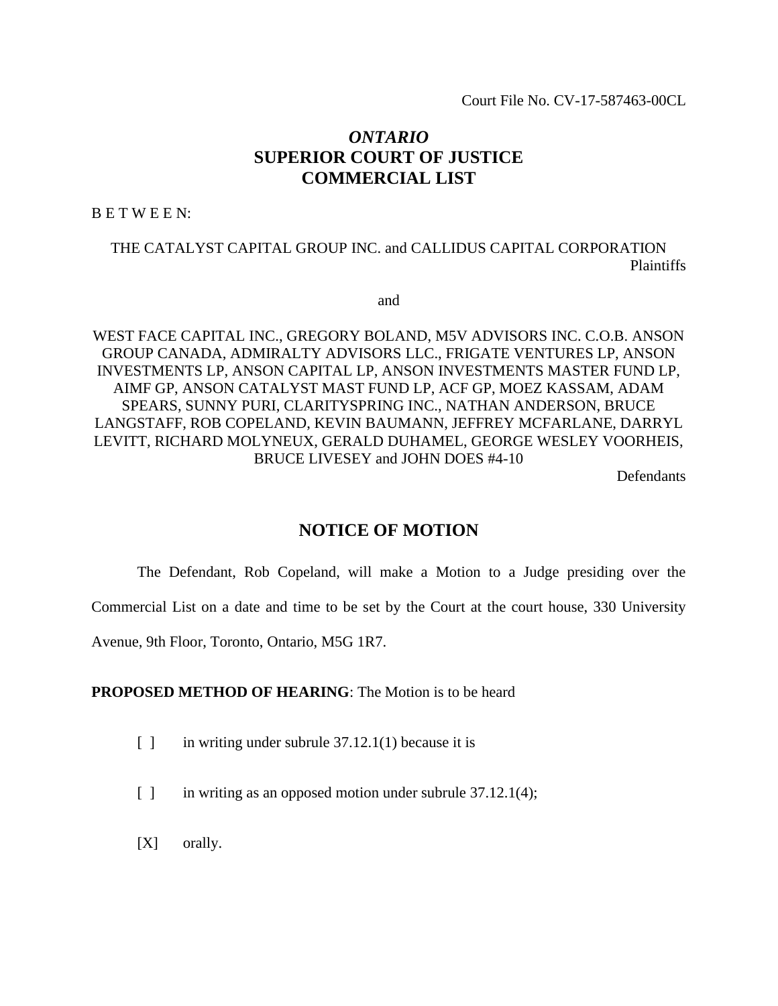Court File No. CV-17-587463-00CL

# *ONTARIO* **SUPERIOR COURT OF JUSTICE COMMERCIAL LIST**

B E T W E E N:

THE CATALYST CAPITAL GROUP INC. and CALLIDUS CAPITAL CORPORATION Plaintiffs

and

WEST FACE CAPITAL INC., GREGORY BOLAND, M5V ADVISORS INC. C.O.B. ANSON GROUP CANADA, ADMIRALTY ADVISORS LLC., FRIGATE VENTURES LP, ANSON INVESTMENTS LP, ANSON CAPITAL LP, ANSON INVESTMENTS MASTER FUND LP, AIMF GP, ANSON CATALYST MAST FUND LP, ACF GP, MOEZ KASSAM, ADAM SPEARS, SUNNY PURI, CLARITYSPRING INC., NATHAN ANDERSON, BRUCE LANGSTAFF, ROB COPELAND, KEVIN BAUMANN, JEFFREY MCFARLANE, DARRYL LEVITT, RICHARD MOLYNEUX, GERALD DUHAMEL, GEORGE WESLEY VOORHEIS, BRUCE LIVESEY and JOHN DOES #4-10

Defendants

## **NOTICE OF MOTION**

The Defendant, Rob Copeland, will make a Motion to a Judge presiding over the

Commercial List on a date and time to be set by the Court at the court house, 330 University

Avenue, 9th Floor, Toronto, Ontario, M5G 1R7.

## **PROPOSED METHOD OF HEARING**: The Motion is to be heard

- $\lceil \cdot \rceil$  in writing under subrule 37.12.1(1) because it is
- [ ] in writing as an opposed motion under subrule 37.12.1(4);
- [X] orally.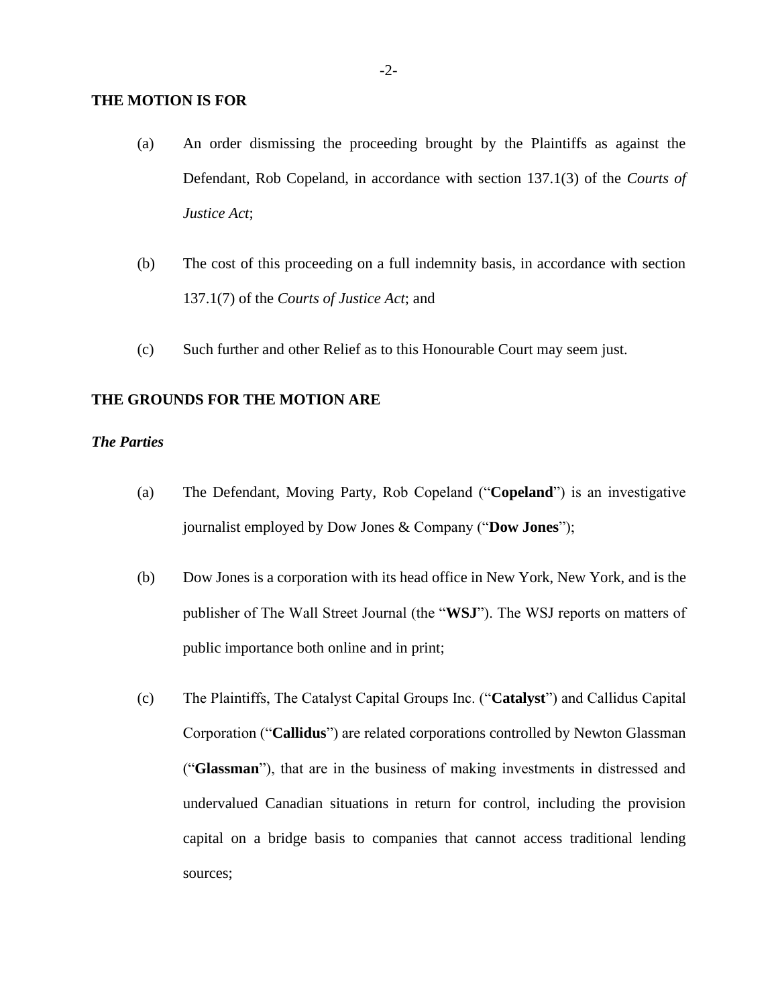#### **THE MOTION IS FOR**

- (a) An order dismissing the proceeding brought by the Plaintiffs as against the Defendant, Rob Copeland, in accordance with section 137.1(3) of the *Courts of Justice Act*;
- (b) The cost of this proceeding on a full indemnity basis, in accordance with section 137.1(7) of the *Courts of Justice Act*; and
- (c) Such further and other Relief as to this Honourable Court may seem just.

#### **THE GROUNDS FOR THE MOTION ARE**

## *The Parties*

- (a) The Defendant, Moving Party, Rob Copeland ("**Copeland**") is an investigative journalist employed by Dow Jones & Company ("**Dow Jones**");
- (b) Dow Jones is a corporation with its head office in New York, New York, and is the publisher of The Wall Street Journal (the "**WSJ**"). The WSJ reports on matters of public importance both online and in print;
- (c) The Plaintiffs, The Catalyst Capital Groups Inc. ("**Catalyst**") and Callidus Capital Corporation ("**Callidus**") are related corporations controlled by Newton Glassman ("**Glassman**"), that are in the business of making investments in distressed and undervalued Canadian situations in return for control, including the provision capital on a bridge basis to companies that cannot access traditional lending sources;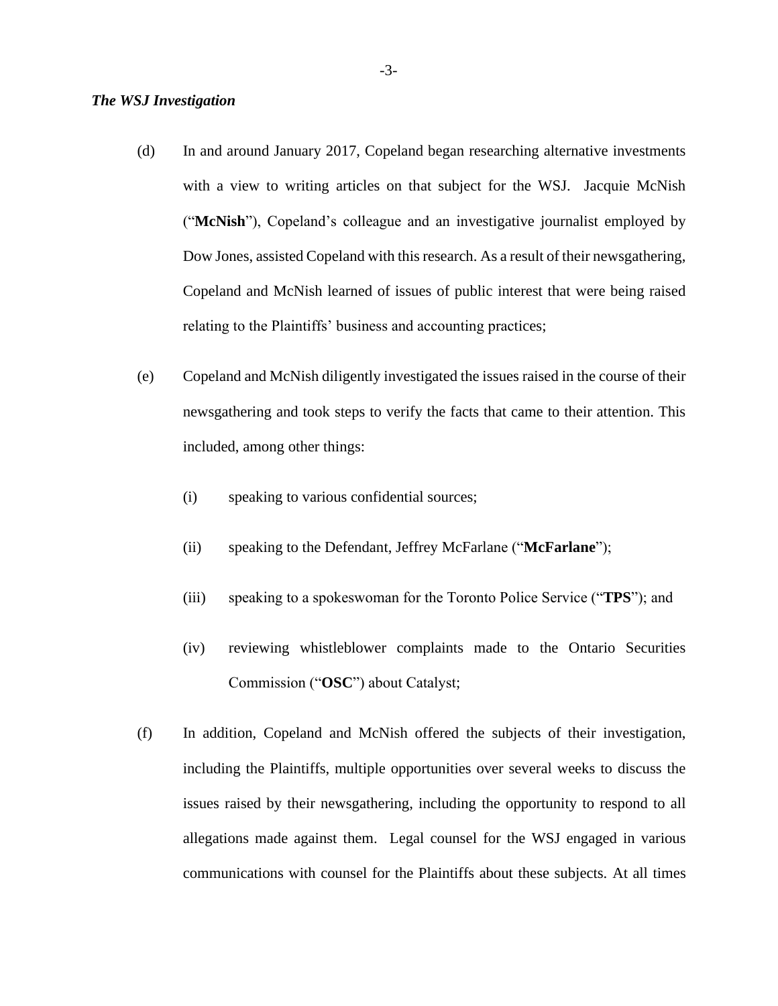#### *The WSJ Investigation*

- (d) In and around January 2017, Copeland began researching alternative investments with a view to writing articles on that subject for the WSJ. Jacquie McNish ("**McNish**"), Copeland's colleague and an investigative journalist employed by Dow Jones, assisted Copeland with this research. As a result of their newsgathering, Copeland and McNish learned of issues of public interest that were being raised relating to the Plaintiffs' business and accounting practices;
- (e) Copeland and McNish diligently investigated the issues raised in the course of their newsgathering and took steps to verify the facts that came to their attention. This included, among other things:
	- (i) speaking to various confidential sources;
	- (ii) speaking to the Defendant, Jeffrey McFarlane ("**McFarlane**");
	- (iii) speaking to a spokeswoman for the Toronto Police Service ("**TPS**"); and
	- (iv) reviewing whistleblower complaints made to the Ontario Securities Commission ("**OSC**") about Catalyst;
- (f) In addition, Copeland and McNish offered the subjects of their investigation, including the Plaintiffs, multiple opportunities over several weeks to discuss the issues raised by their newsgathering, including the opportunity to respond to all allegations made against them. Legal counsel for the WSJ engaged in various communications with counsel for the Plaintiffs about these subjects. At all times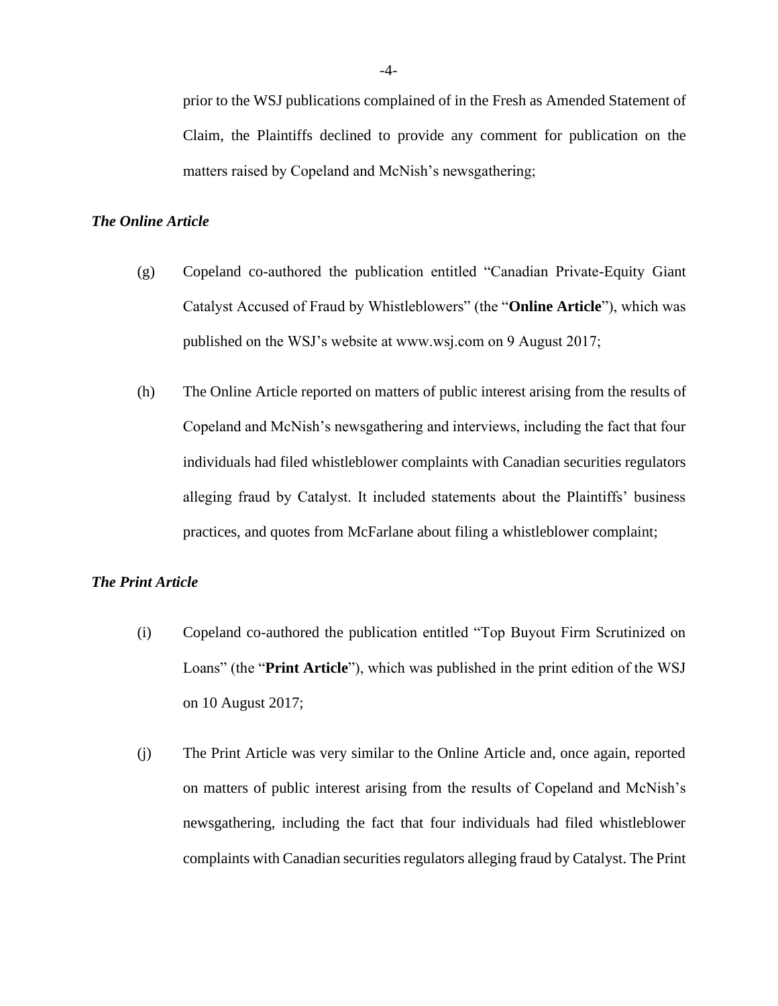prior to the WSJ publications complained of in the Fresh as Amended Statement of Claim, the Plaintiffs declined to provide any comment for publication on the matters raised by Copeland and McNish's newsgathering;

## *The Online Article*

- (g) Copeland co-authored the publication entitled "Canadian Private-Equity Giant Catalyst Accused of Fraud by Whistleblowers" (the "**Online Article**"), which was published on the WSJ's website at www.wsj.com on 9 August 2017;
- (h) The Online Article reported on matters of public interest arising from the results of Copeland and McNish's newsgathering and interviews, including the fact that four individuals had filed whistleblower complaints with Canadian securities regulators alleging fraud by Catalyst. It included statements about the Plaintiffs' business practices, and quotes from McFarlane about filing a whistleblower complaint;

#### *The Print Article*

- (i) Copeland co-authored the publication entitled "Top Buyout Firm Scrutinized on Loans" (the "**Print Article**"), which was published in the print edition of the WSJ on 10 August 2017;
- (j) The Print Article was very similar to the Online Article and, once again, reported on matters of public interest arising from the results of Copeland and McNish's newsgathering, including the fact that four individuals had filed whistleblower complaints with Canadian securities regulators alleging fraud by Catalyst. The Print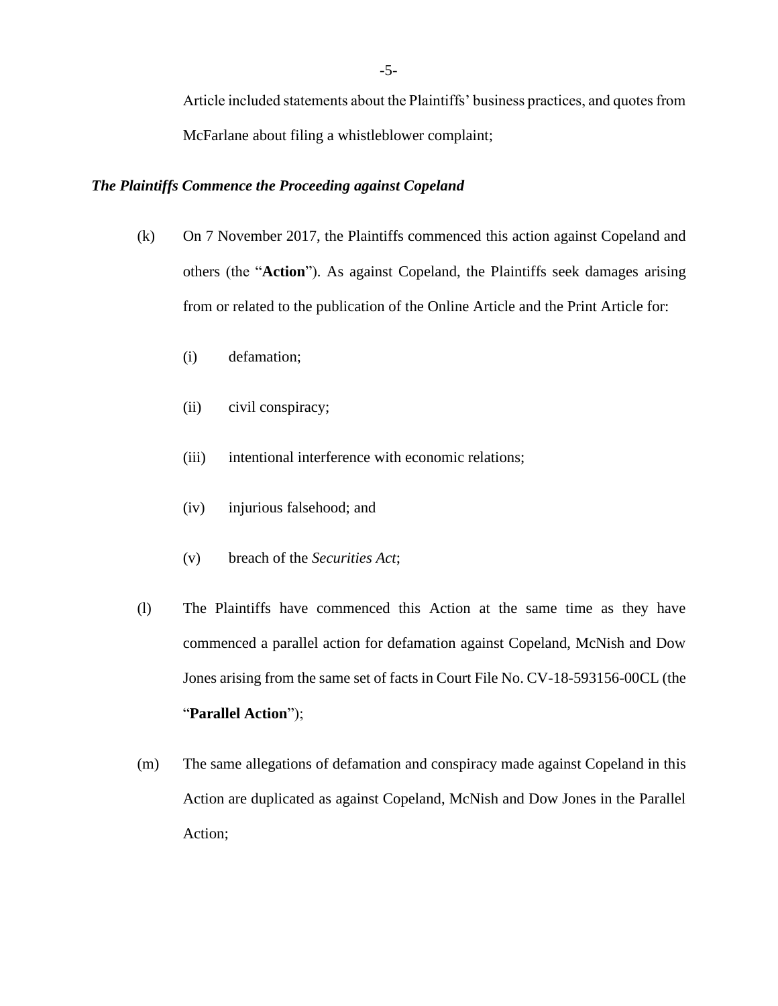Article included statements about the Plaintiffs' business practices, and quotes from McFarlane about filing a whistleblower complaint;

#### *The Plaintiffs Commence the Proceeding against Copeland*

- (k) On 7 November 2017, the Plaintiffs commenced this action against Copeland and others (the "**Action**"). As against Copeland, the Plaintiffs seek damages arising from or related to the publication of the Online Article and the Print Article for:
	- (i) defamation;
	- (ii) civil conspiracy;
	- (iii) intentional interference with economic relations;
	- (iv) injurious falsehood; and
	- (v) breach of the *Securities Act*;
- (l) The Plaintiffs have commenced this Action at the same time as they have commenced a parallel action for defamation against Copeland, McNish and Dow Jones arising from the same set of facts in Court File No. CV-18-593156-00CL (the "**Parallel Action**");
- (m) The same allegations of defamation and conspiracy made against Copeland in this Action are duplicated as against Copeland, McNish and Dow Jones in the Parallel Action;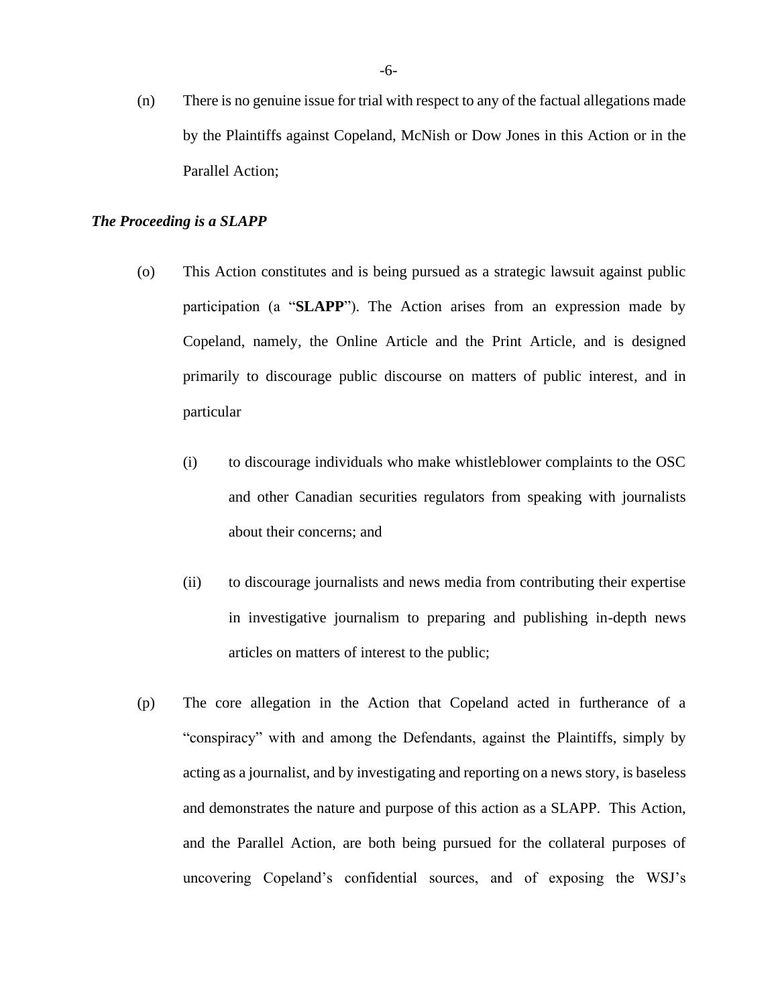(n) There is no genuine issue for trial with respect to any of the factual allegations made by the Plaintiffs against Copeland, McNish or Dow Jones in this Action or in the Parallel Action;

#### *The Proceeding is a SLAPP*

- (o) This Action constitutes and is being pursued as a strategic lawsuit against public participation (a "**SLAPP**"). The Action arises from an expression made by Copeland, namely, the Online Article and the Print Article, and is designed primarily to discourage public discourse on matters of public interest, and in particular
	- (i) to discourage individuals who make whistleblower complaints to the OSC and other Canadian securities regulators from speaking with journalists about their concerns; and
	- (ii) to discourage journalists and news media from contributing their expertise in investigative journalism to preparing and publishing in-depth news articles on matters of interest to the public;
- (p) The core allegation in the Action that Copeland acted in furtherance of a "conspiracy" with and among the Defendants, against the Plaintiffs, simply by acting as a journalist, and by investigating and reporting on a news story, is baseless and demonstrates the nature and purpose of this action as a SLAPP. This Action, and the Parallel Action, are both being pursued for the collateral purposes of uncovering Copeland's confidential sources, and of exposing the WSJ's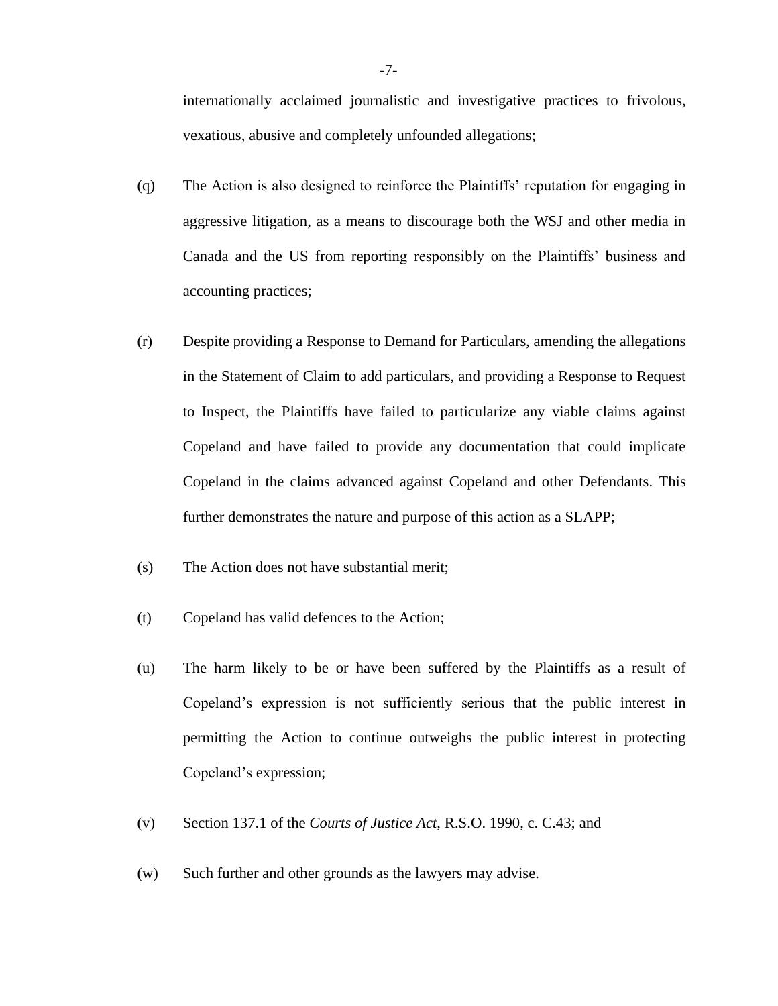internationally acclaimed journalistic and investigative practices to frivolous, vexatious, abusive and completely unfounded allegations;

- (q) The Action is also designed to reinforce the Plaintiffs' reputation for engaging in aggressive litigation, as a means to discourage both the WSJ and other media in Canada and the US from reporting responsibly on the Plaintiffs' business and accounting practices;
- (r) Despite providing a Response to Demand for Particulars, amending the allegations in the Statement of Claim to add particulars, and providing a Response to Request to Inspect, the Plaintiffs have failed to particularize any viable claims against Copeland and have failed to provide any documentation that could implicate Copeland in the claims advanced against Copeland and other Defendants. This further demonstrates the nature and purpose of this action as a SLAPP;
- (s) The Action does not have substantial merit;
- (t) Copeland has valid defences to the Action;
- (u) The harm likely to be or have been suffered by the Plaintiffs as a result of Copeland's expression is not sufficiently serious that the public interest in permitting the Action to continue outweighs the public interest in protecting Copeland's expression;
- (v) Section 137.1 of the *Courts of Justice Act*, R.S.O. 1990, c. C.43; and
- (w) Such further and other grounds as the lawyers may advise.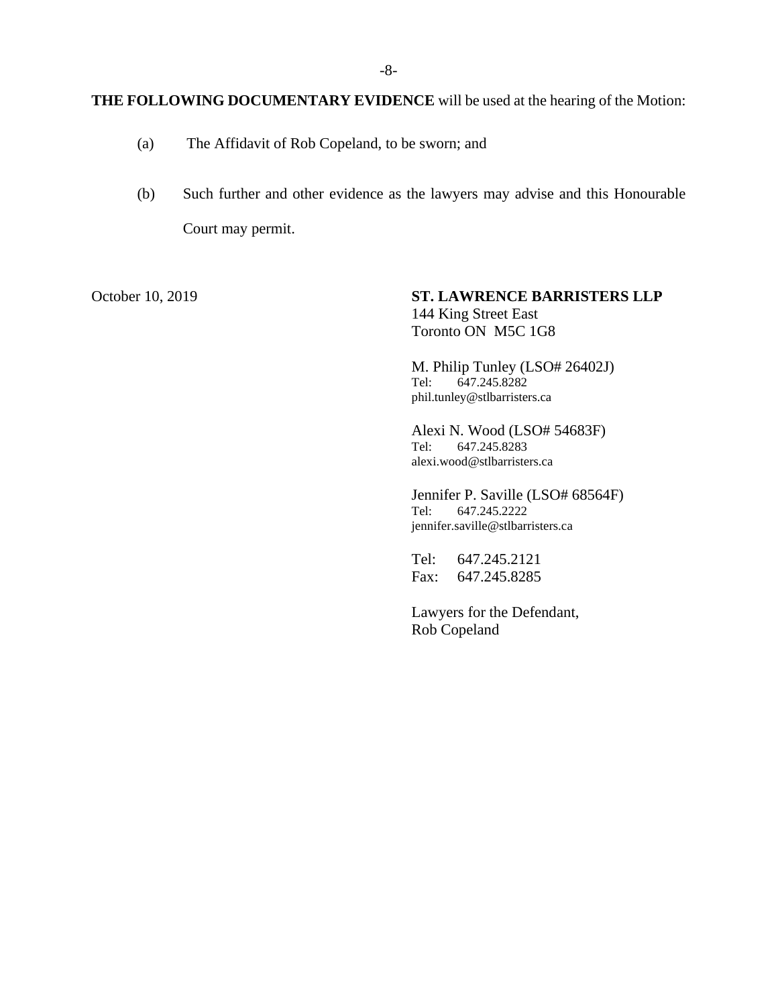## **THE FOLLOWING DOCUMENTARY EVIDENCE** will be used at the hearing of the Motion:

- (a) The Affidavit of Rob Copeland, to be sworn; and
- (b) Such further and other evidence as the lawyers may advise and this Honourable Court may permit.

October 10, 2019 **ST. LAWRENCE BARRISTERS LLP** 144 King Street East Toronto ON M5C 1G8

> M. Philip Tunley (LSO# 26402J) Tel: 647.245.8282 phil.tunley@stlbarristers.ca

Alexi N. Wood (LSO# 54683F) Tel: 647.245.8283 alexi.wood@stlbarristers.ca

Jennifer P. Saville (LSO# 68564F) Tel: 647.245.2222 jennifer.saville@stlbarristers.ca

Tel: 647.245.2121 Fax: 647.245.8285

Lawyers for the Defendant, Rob Copeland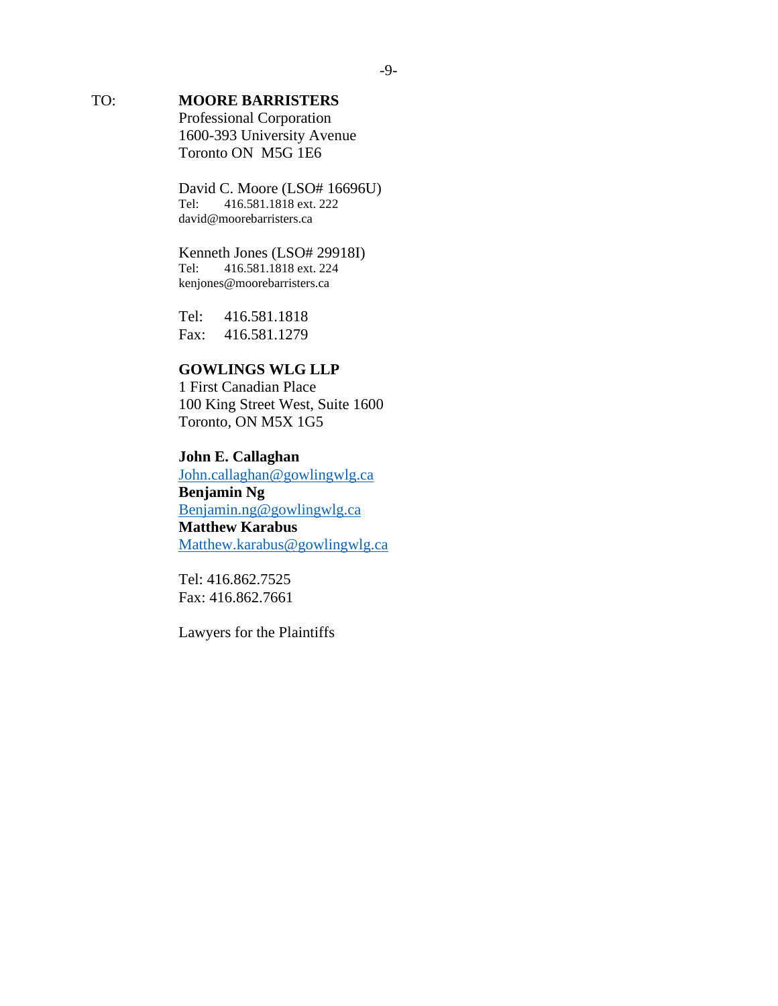# TO: **MOORE BARRISTERS**

Professional Corporation 1600-393 University Avenue Toronto ON M5G 1E6

David C. Moore (LSO# 16696U)<br>Tel: 416.581.1818 ext. 222 416.581.1818 ext. 222 david@moorebarristers.ca

# Kenneth Jones (LSO# 29918I)<br>Tel: 416.581.1818 ext. 224

Tel: 416.581.1818 ext. 224 kenjones@moorebarristers.ca

Tel: 416.581.1818 Fax: 416.581.1279

## **GOWLINGS WLG LLP**

1 First Canadian Place 100 King Street West, Suite 1600 Toronto, ON M5X 1G5

## **John E. Callaghan**

[John.callaghan@gowlingwlg.ca](mailto:John.callaghan@gowlingwlg.ca) **Benjamin Ng** [Benjamin.ng@gowlingwlg.ca](mailto:Benjamin.ng@gowlingwlg.ca) **Matthew Karabus**  [Matthew.karabus@gowlingwlg.ca](mailto:Matthew.karabus@gowlingwlg.ca)

Tel: 416.862.7525 Fax: 416.862.7661

Lawyers for the Plaintiffs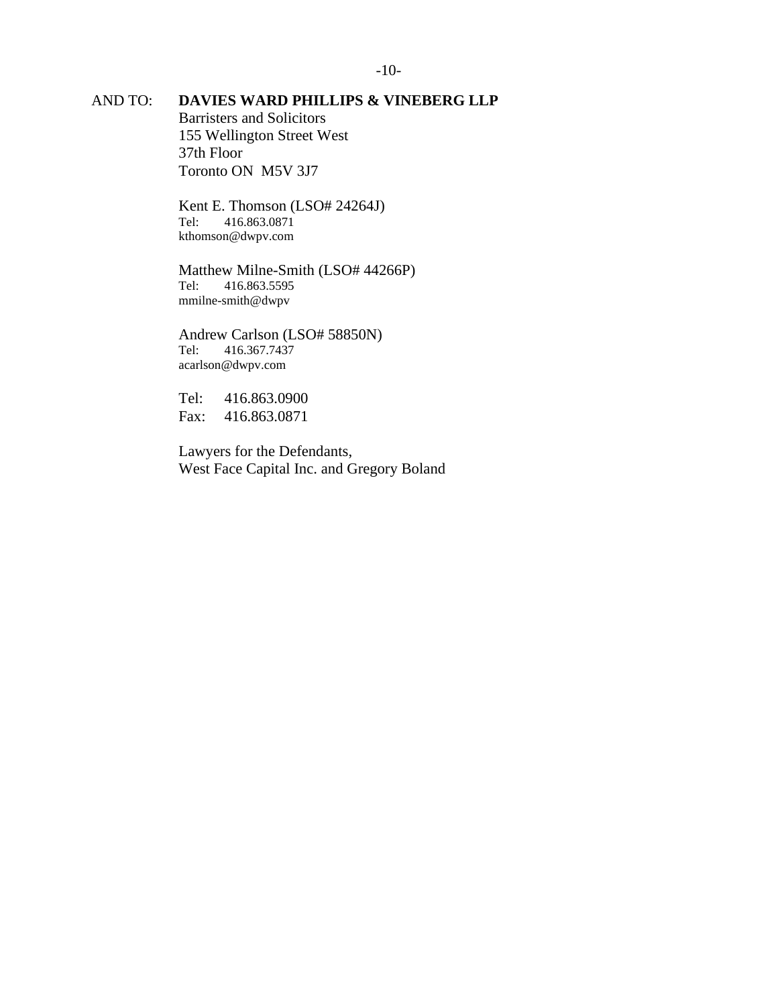## AND TO: **DAVIES WARD PHILLIPS & VINEBERG LLP**

Barristers and Solicitors 155 Wellington Street West 37th Floor Toronto ON M5V 3J7

Kent E. Thomson (LSO# 24264J) Tel: 416.863.0871 kthomson@dwpv.com

Matthew Milne-Smith (LSO# 44266P) Tel: 416.863.5595 mmilne-smith@dwpv

Andrew Carlson (LSO# 58850N)<br>Tel: 416.367.7437 Tel: 416.367.7437 acarlson@dwpv.com

Tel: 416.863.0900 Fax: 416.863.0871

Lawyers for the Defendants, West Face Capital Inc. and Gregory Boland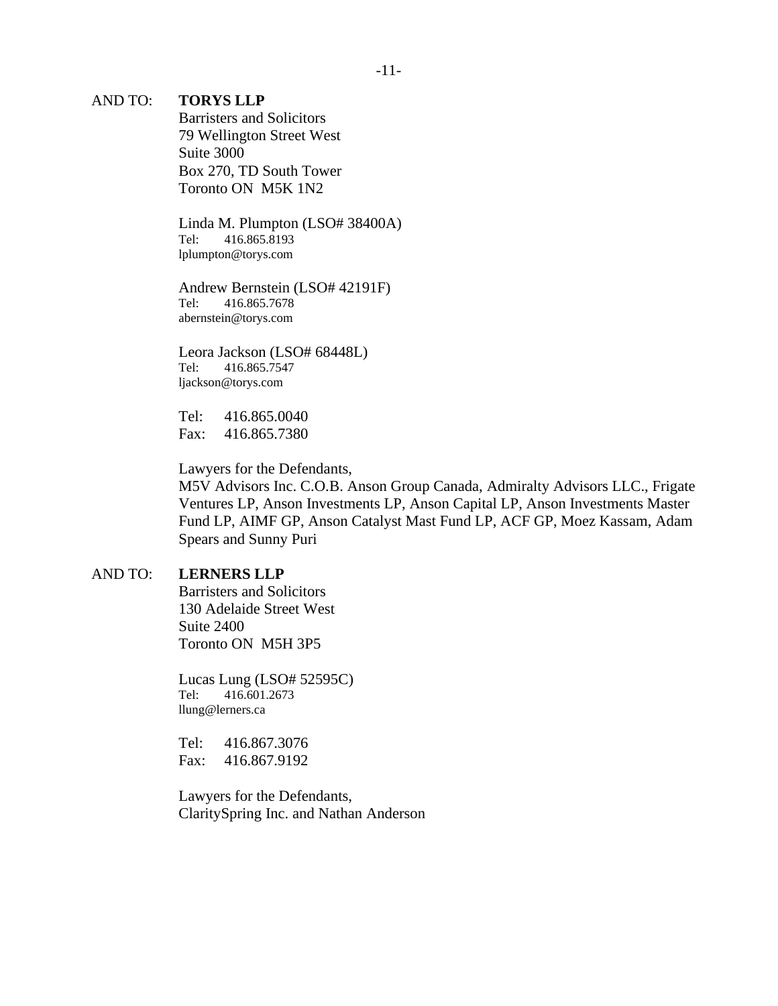#### AND TO: **TORYS LLP**

Barristers and Solicitors 79 Wellington Street West Suite 3000 Box 270, TD South Tower Toronto ON M5K 1N2

Linda M. Plumpton (LSO# 38400A) Tel: 416.865.8193 lplumpton@torys.com

Andrew Bernstein (LSO# 42191F) Tel: 416.865.7678 abernstein@torys.com

Leora Jackson (LSO# 68448L) Tel: 416.865.7547 ljackson@torys.com

Tel: 416.865.0040 Fax: 416.865.7380

Lawyers for the Defendants,

M5V Advisors Inc. C.O.B. Anson Group Canada, Admiralty Advisors LLC., Frigate Ventures LP, Anson Investments LP, Anson Capital LP, Anson Investments Master Fund LP, AIMF GP, Anson Catalyst Mast Fund LP, ACF GP, Moez Kassam, Adam Spears and Sunny Puri

#### AND TO: **LERNERS LLP**

Barristers and Solicitors 130 Adelaide Street West Suite 2400 Toronto ON M5H 3P5

Lucas Lung (LSO# 52595C) Tel: 416.601.2673 llung@lerners.ca

Tel: 416.867.3076 Fax: 416.867.9192

Lawyers for the Defendants, ClaritySpring Inc. and Nathan Anderson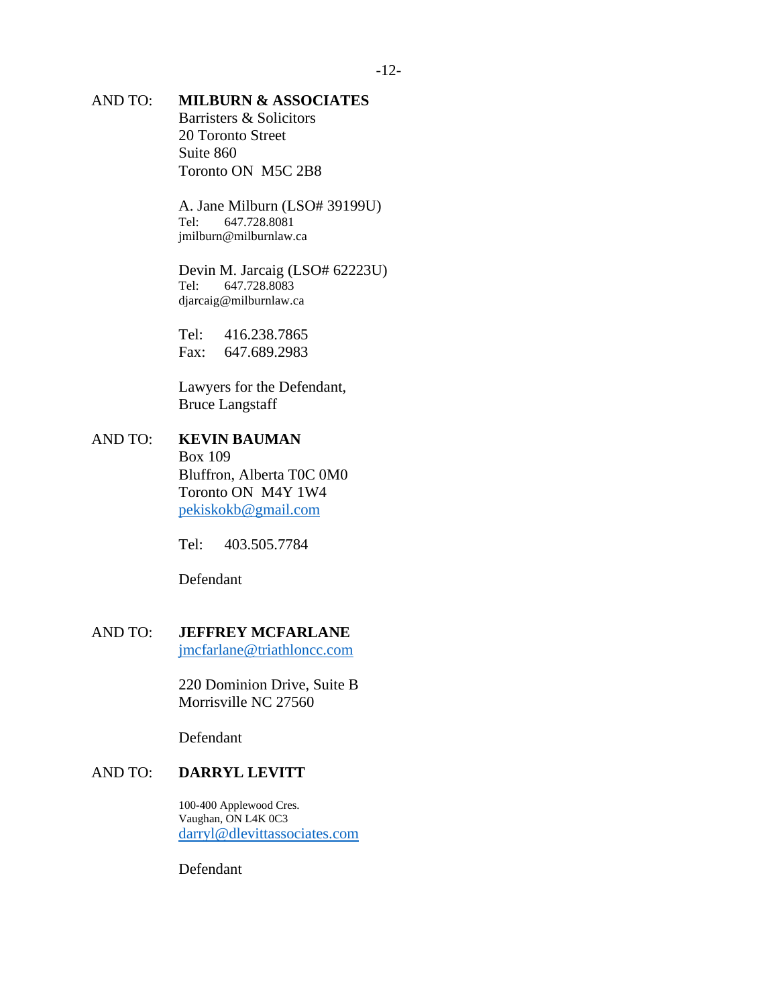## AND TO: **MILBURN & ASSOCIATES**

Barristers & Solicitors 20 Toronto Street Suite 860 Toronto ON M5C 2B8

A. Jane Milburn (LSO# 39199U) Tel: 647.728.8081 jmilburn@milburnlaw.ca

Devin M. Jarcaig (LSO# 62223U) Tel: 647.728.8083 djarcaig@milburnlaw.ca

Tel: 416.238.7865 Fax: 647.689.2983

Lawyers for the Defendant, Bruce Langstaff

## AND TO: **KEVIN BAUMAN** Box 109 Bluffron, Alberta T0C 0M0 Toronto ON M4Y 1W4 [pekiskokb@gmail.com](mailto:pekiskokb@gmail.com)

Tel: 403.505.7784

Defendant

# AND TO: **JEFFREY MCFARLANE**

[jmcfarlane@triathloncc.com](mailto:jmcfarlane@triathloncc.com)

220 Dominion Drive, Suite B Morrisville NC 27560

Defendant

## AND TO: **DARRYL LEVITT**

100-400 Applewood Cres. Vaughan, ON L4K 0C3 [darryl@dlevittassociates.com](mailto:darryl@dlevittassociates.com)

Defendant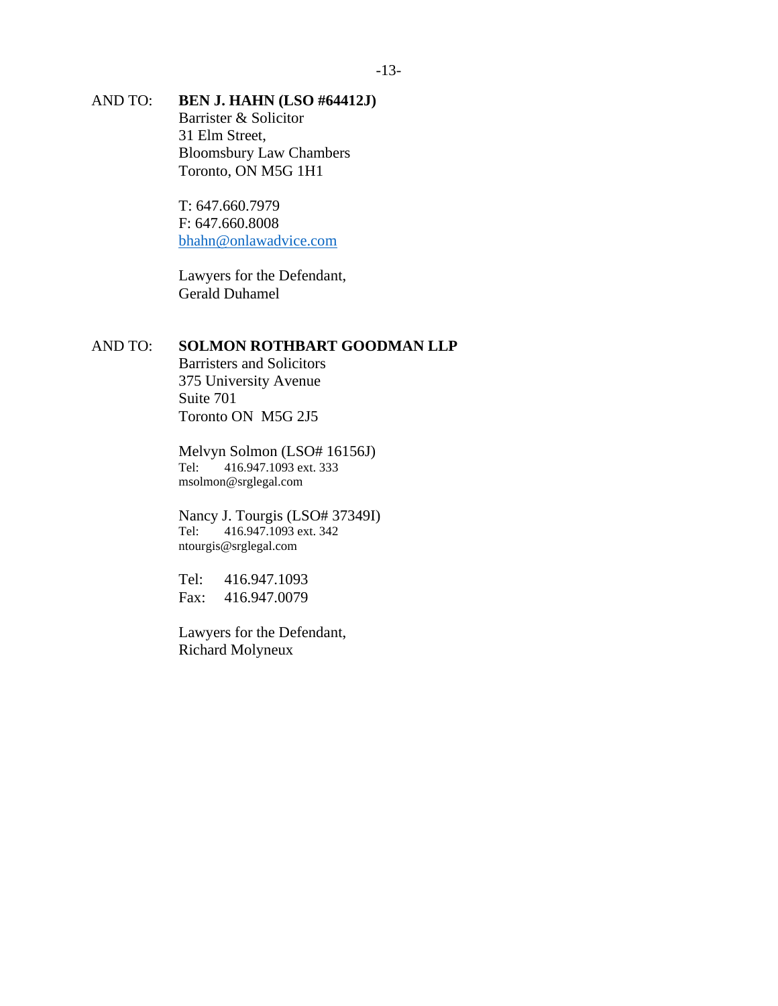## AND TO: **BEN J. HAHN (LSO #64412J)** Barrister & Solicitor 31 Elm Street, Bloomsbury Law Chambers

Toronto, ON M5G 1H1

T: 647.660.7979 F: 647.660.8008 [bhahn@onlawadvice.com](mailto:bhahn@onlawadvice.com)

Lawyers for the Defendant, Gerald Duhamel

## AND TO: **SOLMON ROTHBART GOODMAN LLP**

Barristers and Solicitors 375 University Avenue Suite 701 Toronto ON M5G 2J5

Melvyn Solmon (LSO# 16156J) Tel: 416.947.1093 ext. 333 msolmon@srglegal.com

Nancy J. Tourgis (LSO# 37349I)<br>Tel: 416.947.1093 ext. 342 416.947.1093 ext. 342 ntourgis@srglegal.com

Tel: 416.947.1093 Fax: 416.947.0079

Lawyers for the Defendant, Richard Molyneux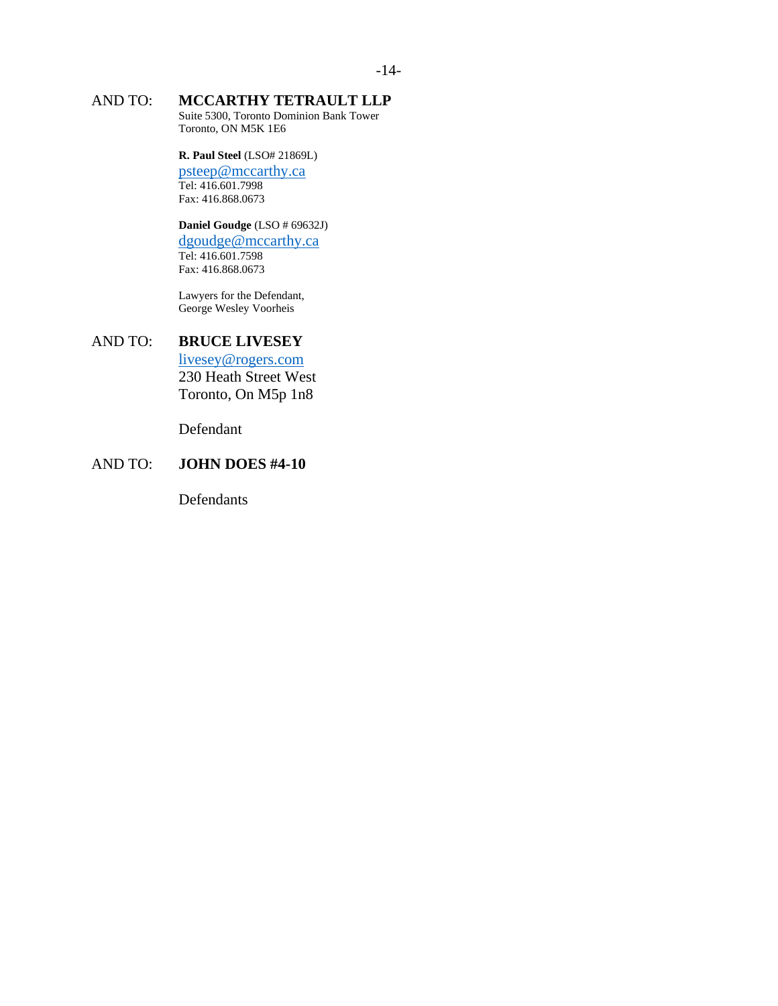# AND TO: **MCCARTHY TETRAULT LLP**

Suite 5300, Toronto Dominion Bank Tower Toronto, ON M5K 1E6

#### **R. Paul Steel** (LSO# 21869L)

[psteep@mccarthy.ca](mailto:psteep@mccarthy.ca) Tel: 416.601.7998 Fax: 416.868.0673

#### **Daniel Goudge** (LSO # 69632J) [dgoudge@mccarthy.ca](mailto:dgoudge@mccarthy.ca) Tel: 416.601.7598

Fax: 416.868.0673

Lawyers for the Defendant, George Wesley Voorheis

## AND TO: **BRUCE LIVESEY**

[livesey@rogers.com](mailto:livesey@rogers.com) 230 Heath Street West Toronto, On M5p 1n8

Defendant

## AND TO: **JOHN DOES #4-10**

Defendants